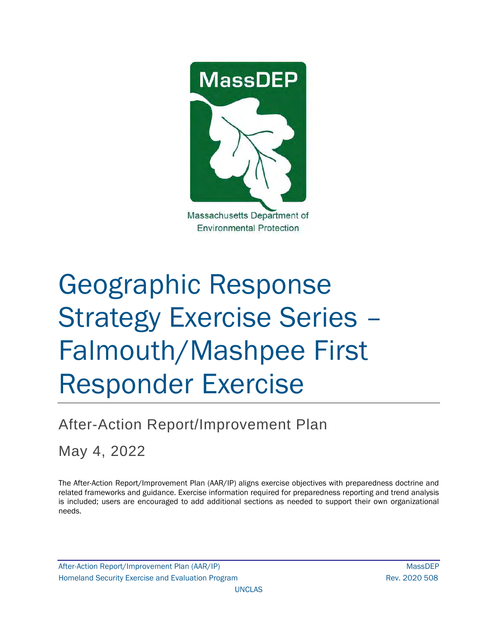

# Geographic Response Strategy Exercise Series – Falmouth/Mashpee First Responder Exercise

# After-Action Report/Improvement Plan

May 4, 2022

The After-Action Report/Improvement Plan (AAR/IP) aligns exercise objectives with preparedness doctrine and related frameworks and guidance. Exercise information required for preparedness reporting and trend analysis is included; users are encouraged to add additional sections as needed to support their own organizational needs.

After-Action Report/Improvement Plan (AAR/IP) MassDEP Homeland Security Exercise and Evaluation Program News 2020 508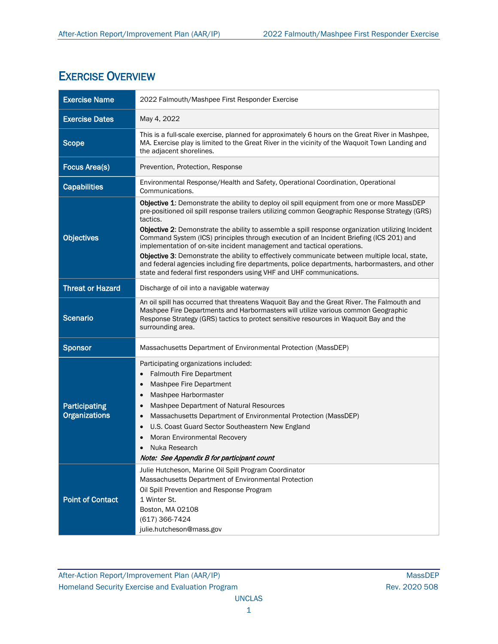## EXERCISE OVERVIEW

| <b>Exercise Name</b>                  | 2022 Falmouth/Mashpee First Responder Exercise                                                                                                                                                                                                                                                                                                                                                                                                                                                                                                                                                                                                                                                                                                                 |
|---------------------------------------|----------------------------------------------------------------------------------------------------------------------------------------------------------------------------------------------------------------------------------------------------------------------------------------------------------------------------------------------------------------------------------------------------------------------------------------------------------------------------------------------------------------------------------------------------------------------------------------------------------------------------------------------------------------------------------------------------------------------------------------------------------------|
| <b>Exercise Dates</b>                 | May 4, 2022                                                                                                                                                                                                                                                                                                                                                                                                                                                                                                                                                                                                                                                                                                                                                    |
| <b>Scope</b>                          | This is a full-scale exercise, planned for approximately 6 hours on the Great River in Mashpee,<br>MA. Exercise play is limited to the Great River in the vicinity of the Waquoit Town Landing and<br>the adjacent shorelines.                                                                                                                                                                                                                                                                                                                                                                                                                                                                                                                                 |
| <b>Focus Area(s)</b>                  | Prevention, Protection, Response                                                                                                                                                                                                                                                                                                                                                                                                                                                                                                                                                                                                                                                                                                                               |
| <b>Capabilities</b>                   | Environmental Response/Health and Safety, Operational Coordination, Operational<br>Communications.                                                                                                                                                                                                                                                                                                                                                                                                                                                                                                                                                                                                                                                             |
| <b>Objectives</b>                     | Objective 1: Demonstrate the ability to deploy oil spill equipment from one or more MassDEP<br>pre-positioned oil spill response trailers utilizing common Geographic Response Strategy (GRS)<br>tactics.<br>Objective 2: Demonstrate the ability to assemble a spill response organization utilizing Incident<br>Command System (ICS) principles through execution of an Incident Briefing (ICS 201) and<br>implementation of on-site incident management and tactical operations.<br>Objective 3: Demonstrate the ability to effectively communicate between multiple local, state,<br>and federal agencies including fire departments, police departments, harbormasters, and other<br>state and federal first responders using VHF and UHF communications. |
| <b>Threat or Hazard</b>               | Discharge of oil into a navigable waterway                                                                                                                                                                                                                                                                                                                                                                                                                                                                                                                                                                                                                                                                                                                     |
| <b>Scenario</b>                       | An oil spill has occurred that threatens Waquoit Bay and the Great River. The Falmouth and<br>Mashpee Fire Departments and Harbormasters will utilize various common Geographic<br>Response Strategy (GRS) tactics to protect sensitive resources in Waquoit Bay and the<br>surrounding area.                                                                                                                                                                                                                                                                                                                                                                                                                                                                  |
| <b>Sponsor</b>                        | Massachusetts Department of Environmental Protection (MassDEP)                                                                                                                                                                                                                                                                                                                                                                                                                                                                                                                                                                                                                                                                                                 |
| Participating<br><b>Organizations</b> | Participating organizations included:<br><b>Falmouth Fire Department</b><br>Mashpee Fire Department<br>Mashpee Harbormaster<br>Mashpee Department of Natural Resources<br>$\bullet$<br>Massachusetts Department of Environmental Protection (MassDEP)<br>$\bullet$<br>U.S. Coast Guard Sector Southeastern New England<br>Moran Environmental Recovery<br>Nuka Research<br>Note: See Appendix B for participant count                                                                                                                                                                                                                                                                                                                                          |
| <b>Point of Contact</b>               | Julie Hutcheson, Marine Oil Spill Program Coordinator<br>Massachusetts Department of Environmental Protection<br>Oil Spill Prevention and Response Program<br>1 Winter St.<br>Boston, MA 02108<br>$(617)$ 366-7424<br>julie.hutcheson@mass.gov                                                                                                                                                                                                                                                                                                                                                                                                                                                                                                                 |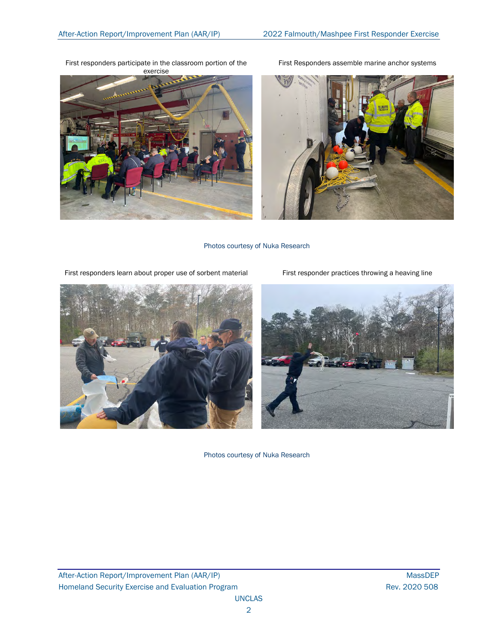First responders participate in the classroom portion of the







Photos courtesy of Nuka Research

First responders learn about proper use of sorbent material First responder practices throwing a heaving line





Photos courtesy of Nuka Research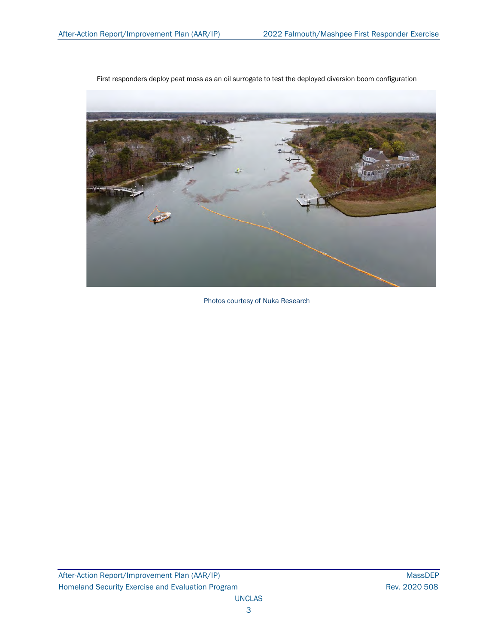

First responders deploy peat moss as an oil surrogate to test the deployed diversion boom configuration

Photos courtesy of Nuka Research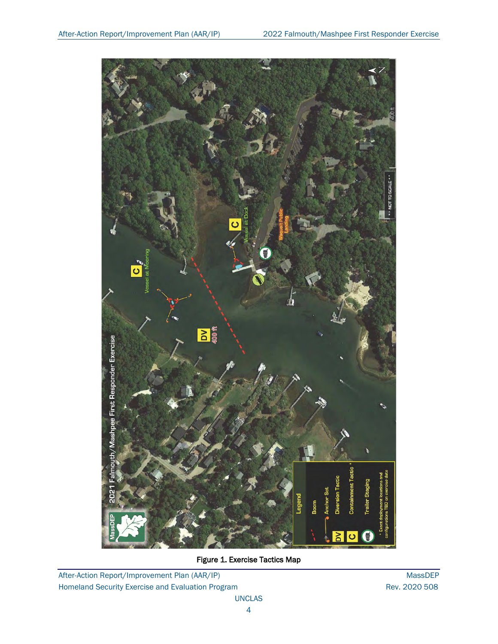

Figure 1. Exercise Tactics Map

After-Action Report/Improvement Plan (AAR/IP) MassDEP Homeland Security Exercise and Evaluation Program **Rev. 2020 508** Rev. 2020 508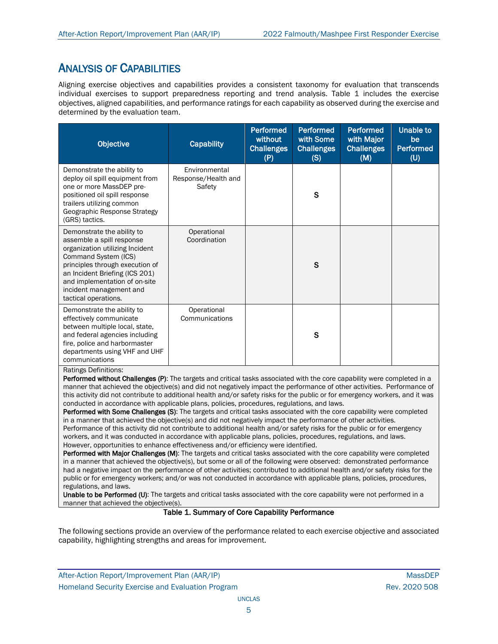## ANALYSIS OF CAPABILITIES

Aligning exercise objectives and capabilities provides a consistent taxonomy for evaluation that transcends individual exercises to support preparedness reporting and trend analysis. Table 1 includes the exercise objectives, aligned capabilities, and performance ratings for each capability as observed during the exercise and determined by the evaluation team.

| <b>Objective</b>                                                                                                                                                                                                                                                            | <b>Capability</b>                              | <b>Performed</b><br>without<br><b>Challenges</b><br>(P) | <b>Performed</b><br>with Some<br><b>Challenges</b><br>(S) | <b>Performed</b><br>with Major<br><b>Challenges</b><br>(M) | <b>Unable to</b><br>be<br><b>Performed</b><br>(U) |
|-----------------------------------------------------------------------------------------------------------------------------------------------------------------------------------------------------------------------------------------------------------------------------|------------------------------------------------|---------------------------------------------------------|-----------------------------------------------------------|------------------------------------------------------------|---------------------------------------------------|
| Demonstrate the ability to<br>deploy oil spill equipment from<br>one or more MassDEP pre-<br>positioned oil spill response<br>trailers utilizing common<br>Geographic Response Strategy<br>(GRS) tactics.                                                                   | Environmental<br>Response/Health and<br>Safety |                                                         | S                                                         |                                                            |                                                   |
| Demonstrate the ability to<br>assemble a spill response<br>organization utilizing Incident<br>Command System (ICS)<br>principles through execution of<br>an Incident Briefing (ICS 201)<br>and implementation of on-site<br>incident management and<br>tactical operations. | Operational<br>Coordination                    |                                                         | S                                                         |                                                            |                                                   |
| Demonstrate the ability to<br>effectively communicate<br>between multiple local, state,<br>and federal agencies including<br>fire, police and harbormaster<br>departments using VHF and UHF<br>communications<br>Ratings Definitions:                                       | Operational<br>Communications                  |                                                         | S                                                         |                                                            |                                                   |

Performed without Challenges (P): The targets and critical tasks associated with the core capability were completed in a manner that achieved the objective(s) and did not negatively impact the performance of other activities. Performance of this activity did not contribute to additional health and/or safety risks for the public or for emergency workers, and it was conducted in accordance with applicable plans, policies, procedures, regulations, and laws.

Performed with Some Challenges (S): The targets and critical tasks associated with the core capability were completed in a manner that achieved the objective(s) and did not negatively impact the performance of other activities. Performance of this activity did not contribute to additional health and/or safety risks for the public or for emergency workers, and it was conducted in accordance with applicable plans, policies, procedures, regulations, and laws. However, opportunities to enhance effectiveness and/or efficiency were identified.

Performed with Major Challenges (M): The targets and critical tasks associated with the core capability were completed in a manner that achieved the objective(s), but some or all of the following were observed: demonstrated performance had a negative impact on the performance of other activities; contributed to additional health and/or safety risks for the public or for emergency workers; and/or was not conducted in accordance with applicable plans, policies, procedures, regulations, and laws.

Unable to be Performed (U): The targets and critical tasks associated with the core capability were not performed in a manner that achieved the objective(s).

#### Table 1. Summary of Core Capability Performance

The following sections provide an overview of the performance related to each exercise objective and associated capability, highlighting strengths and areas for improvement.

After-Action Report/Improvement Plan (AAR/IP) NassDEP After-Action Report/Improvement Plan (AAR/IP) Homeland Security Exercise and Evaluation Program **Rev. 2020 508** Rev. 2020 508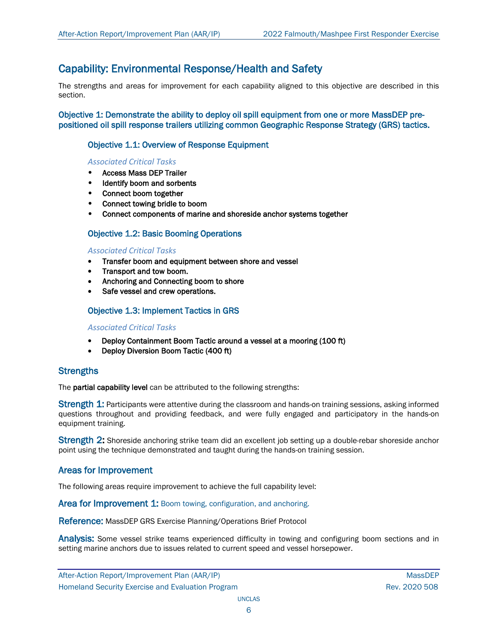## Capability: Environmental Response/Health and Safety

The strengths and areas for improvement for each capability aligned to this objective are described in this section.

Objective 1: Demonstrate the ability to deploy oil spill equipment from one or more MassDEP prepositioned oil spill response trailers utilizing common Geographic Response Strategy (GRS) tactics.

#### Objective 1.1: Overview of Response Equipment

#### *Associated Critical Tasks*

- Access Mass DEP Trailer
- Identify boom and sorbents
- Connect boom together
- Connect towing bridle to boom
- Connect components of marine and shoreside anchor systems together

#### Objective 1.2: Basic Booming Operations

#### *Associated Critical Tasks*

- Transfer boom and equipment between shore and vessel
- Transport and tow boom.
- Anchoring and Connecting boom to shore
- Safe vessel and crew operations.

#### Objective 1.3: Implement Tactics in GRS

#### *Associated Critical Tasks*

- Deploy Containment Boom Tactic around a vessel at a mooring (100 ft)
- Deploy Diversion Boom Tactic (400 ft)

#### **Strengths**

The **partial capability level** can be attributed to the following strengths:

Strength 1: Participants were attentive during the classroom and hands-on training sessions, asking informed questions throughout and providing feedback, and were fully engaged and participatory in the hands-on equipment training.

Strength 2: Shoreside anchoring strike team did an excellent job setting up a double-rebar shoreside anchor point using the technique demonstrated and taught during the hands-on training session.

#### Areas for Improvement

The following areas require improvement to achieve the full capability level:

Area for Improvement 1: Boom towing, configuration, and anchoring.

Reference: MassDEP GRS Exercise Planning/Operations Brief Protocol

Analysis: Some vessel strike teams experienced difficulty in towing and configuring boom sections and in setting marine anchors due to issues related to current speed and vessel horsepower.

After-Action Report/Improvement Plan (AAR/IP) MassDEP Article is a matrix of the MassDEP Homeland Security Exercise and Evaluation Program **Rev. 2020 508** Rev. 2020 508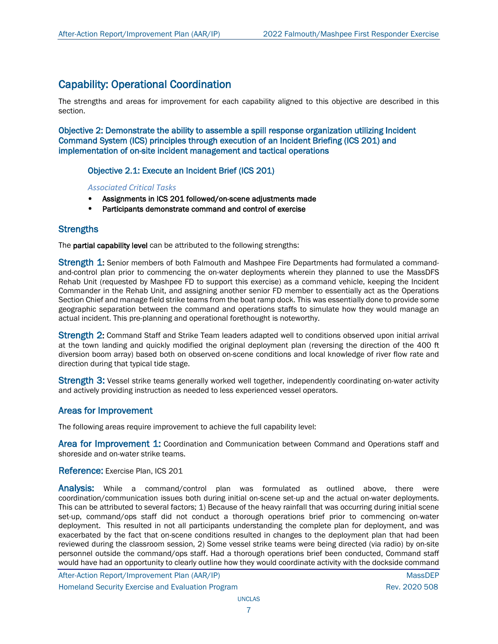## Capability: Operational Coordination

The strengths and areas for improvement for each capability aligned to this objective are described in this section.

Objective 2: Demonstrate the ability to assemble a spill response organization utilizing Incident Command System (ICS) principles through execution of an Incident Briefing (ICS 201) and implementation of on-site incident management and tactical operations

Objective 2.1: Execute an Incident Brief (ICS 201)

*Associated Critical Tasks*

- Assignments in ICS 201 followed/on-scene adjustments made
- Participants demonstrate command and control of exercise

#### **Strengths**

The partial capability level can be attributed to the following strengths:

**Strength 1:** Senior members of both Falmouth and Mashpee Fire Departments had formulated a commandand-control plan prior to commencing the on-water deployments wherein they planned to use the MassDFS Rehab Unit (requested by Mashpee FD to support this exercise) as a command vehicle, keeping the Incident Commander in the Rehab Unit, and assigning another senior FD member to essentially act as the Operations Section Chief and manage field strike teams from the boat ramp dock. This was essentially done to provide some geographic separation between the command and operations staffs to simulate how they would manage an actual incident. This pre-planning and operational forethought is noteworthy.

Strength 2: Command Staff and Strike Team leaders adapted well to conditions observed upon initial arrival at the town landing and quickly modified the original deployment plan (reversing the direction of the 400 ft diversion boom array) based both on observed on-scene conditions and local knowledge of river flow rate and direction during that typical tide stage.

Strength 3: Vessel strike teams generally worked well together, independently coordinating on-water activity and actively providing instruction as needed to less experienced vessel operators.

#### Areas for Improvement

The following areas require improvement to achieve the full capability level:

Area for Improvement 1: Coordination and Communication between Command and Operations staff and shoreside and on-water strike teams.

#### Reference: Exercise Plan, ICS 201

Analysis: While a command/control plan was formulated as outlined above, there were coordination/communication issues both during initial on-scene set-up and the actual on-water deployments. This can be attributed to several factors; 1) Because of the heavy rainfall that was occurring during initial scene set-up, command/ops staff did not conduct a thorough operations brief prior to commencing on-water deployment. This resulted in not all participants understanding the complete plan for deployment, and was exacerbated by the fact that on-scene conditions resulted in changes to the deployment plan that had been reviewed during the classroom session, 2) Some vessel strike teams were being directed (via radio) by on-site personnel outside the command/ops staff. Had a thorough operations brief been conducted, Command staff would have had an opportunity to clearly outline how they would coordinate activity with the dockside command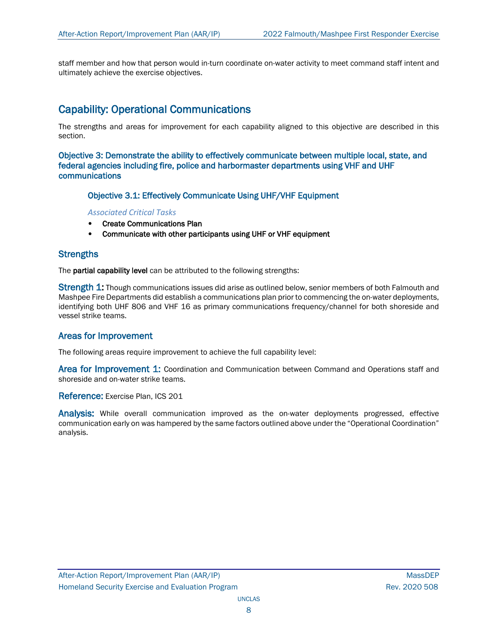staff member and how that person would in-turn coordinate on-water activity to meet command staff intent and ultimately achieve the exercise objectives.

### Capability: Operational Communications

The strengths and areas for improvement for each capability aligned to this objective are described in this section.

Objective 3: Demonstrate the ability to effectively communicate between multiple local, state, and federal agencies including fire, police and harbormaster departments using VHF and UHF communications

Objective 3.1: Effectively Communicate Using UHF/VHF Equipment

*Associated Critical Tasks*

- Create Communications Plan
- Communicate with other participants using UHF or VHF equipment

#### **Strengths**

The partial capability level can be attributed to the following strengths:

**Strength 1:** Though communications issues did arise as outlined below, senior members of both Falmouth and Mashpee Fire Departments did establish a communications plan prior to commencing the on-water deployments, identifying both UHF 806 and VHF 16 as primary communications frequency/channel for both shoreside and vessel strike teams.

#### Areas for Improvement

The following areas require improvement to achieve the full capability level:

Area for Improvement 1: Coordination and Communication between Command and Operations staff and shoreside and on-water strike teams.

Reference: Exercise Plan, ICS 201

Analysis: While overall communication improved as the on-water deployments progressed, effective communication early on was hampered by the same factors outlined above under the "Operational Coordination" analysis.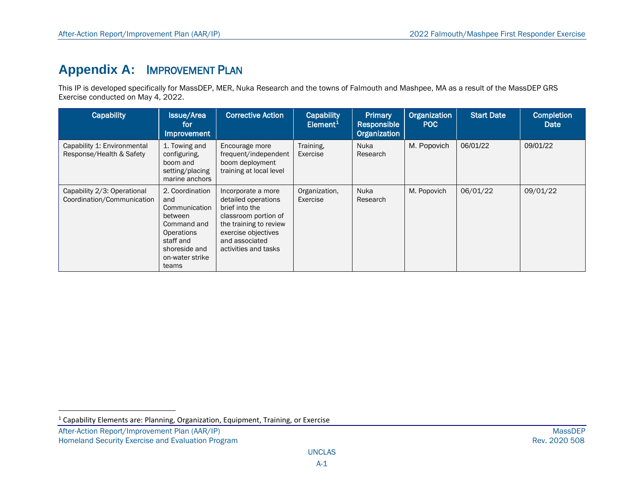# <span id="page-9-0"></span>**Appendix A:** IMPROVEMENT PLAN

This IP is developed specifically for MassDEP, MER, Nuka Research and the towns of Falmouth and Mashpee, MA as a result of the MassDEP GRS Exercise conducted on May 4, 2022.

| <b>Capability</b>                                         | <b>Issue/Area</b><br>for<br><b>Improvement</b>                                                                                            | <b>Corrective Action</b>                                                                                                                                                       | <b>Capability</b><br>Element <sup>1</sup> | <b>Primary</b><br>Responsible<br>Organization | Organization<br>POC | <b>Start Date</b> | <b>Completion</b><br>Date |
|-----------------------------------------------------------|-------------------------------------------------------------------------------------------------------------------------------------------|--------------------------------------------------------------------------------------------------------------------------------------------------------------------------------|-------------------------------------------|-----------------------------------------------|---------------------|-------------------|---------------------------|
| Capability 1: Environmental<br>Response/Health & Safety   | 1. Towing and<br>configuring,<br>boom and<br>setting/placing<br>marine anchors                                                            | Encourage more<br>frequent/independent<br>boom deployment<br>training at local level                                                                                           | Training,<br>Exercise                     | Nuka<br>Research                              | M. Popovich         | 06/01/22          | 09/01/22                  |
| Capability 2/3: Operational<br>Coordination/Communication | 2. Coordination<br>and<br>Communication<br>between<br>Command and<br>Operations<br>staff and<br>shoreside and<br>on-water strike<br>teams | Incorporate a more<br>detailed operations<br>brief into the<br>classroom portion of<br>the training to review<br>exercise objectives<br>and associated<br>activities and tasks | Organization,<br>Exercise                 | Nuka<br>Research                              | M. Popovich         | 06/01/22          | 09/01/22                  |

 $1$  Capability Elements are: Planning, Organization, Equipment, Training, or Exercise

After-Action Report/Improvement Plan (AAR/IP) MassDEP<br>Homeland Security Exercise and Evaluation Program and the state of the state of the state of the state of the Rev. 2020 508 Homeland Security Exercise and Evaluation Program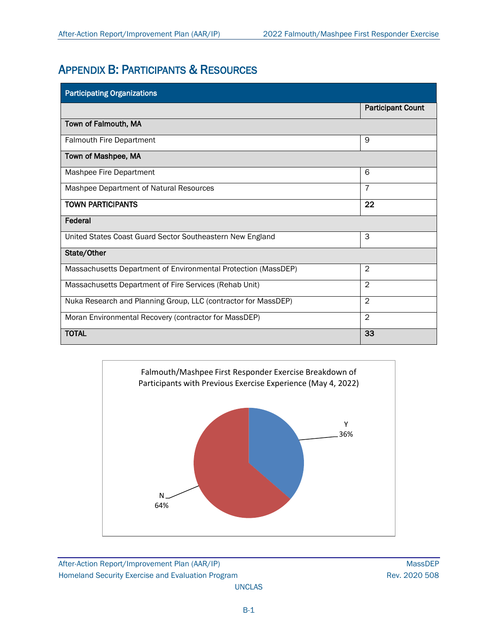# APPENDIX B: PARTICIPANTS & RESOURCES

| <b>Participating Organizations</b>                             |                          |  |  |  |  |
|----------------------------------------------------------------|--------------------------|--|--|--|--|
|                                                                | <b>Participant Count</b> |  |  |  |  |
| Town of Falmouth, MA                                           |                          |  |  |  |  |
| <b>Falmouth Fire Department</b>                                | 9                        |  |  |  |  |
| Town of Mashpee, MA                                            |                          |  |  |  |  |
| Mashpee Fire Department                                        | 6                        |  |  |  |  |
| Mashpee Department of Natural Resources                        | $\overline{7}$           |  |  |  |  |
| <b>TOWN PARTICIPANTS</b>                                       | 22                       |  |  |  |  |
| Federal                                                        |                          |  |  |  |  |
| United States Coast Guard Sector Southeastern New England      | 3                        |  |  |  |  |
| State/Other                                                    |                          |  |  |  |  |
| Massachusetts Department of Environmental Protection (MassDEP) | $\overline{2}$           |  |  |  |  |
| Massachusetts Department of Fire Services (Rehab Unit)         | $\overline{2}$           |  |  |  |  |
| Nuka Research and Planning Group, LLC (contractor for MassDEP) | $\overline{2}$           |  |  |  |  |
| Moran Environmental Recovery (contractor for MassDEP)          | $\overline{2}$           |  |  |  |  |
| <b>TOTAL</b>                                                   | 33                       |  |  |  |  |



After-Action Report/Improvement Plan (AAR/IP) MassDEP Homeland Security Exercise and Evaluation Program **Rev. 2020 508** Rev. 2020 508

B-1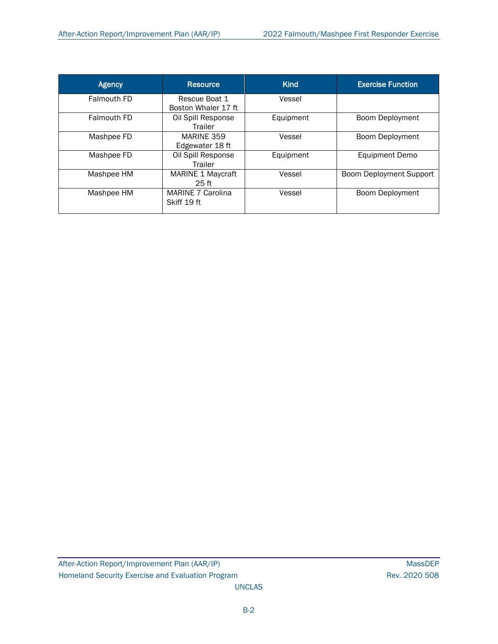| <b>Agency</b> | <b>Resource</b>                         | <b>Kind</b> | <b>Exercise Function</b>       |
|---------------|-----------------------------------------|-------------|--------------------------------|
| Falmouth FD   | Rescue Boat 1<br>Boston Whaler 17 ft    | Vessel      |                                |
| Falmouth FD   | Oil Spill Response<br><b>Trailer</b>    | Equipment   | <b>Boom Deployment</b>         |
| Mashpee FD    | MARINE 359<br>Edgewater 18 ft           | Vessel      | Boom Deployment                |
| Mashpee FD    | Oil Spill Response<br><b>Trailer</b>    | Equipment   | <b>Equipment Demo</b>          |
| Mashpee HM    | MARINE 1 Maycraft<br>25 <sub>ft</sub>   | Vessel      | <b>Boom Deployment Support</b> |
| Mashpee HM    | <b>MARINE 7 Carolina</b><br>Skiff 19 ft | Vessel      | Boom Deployment                |

UNCLAS